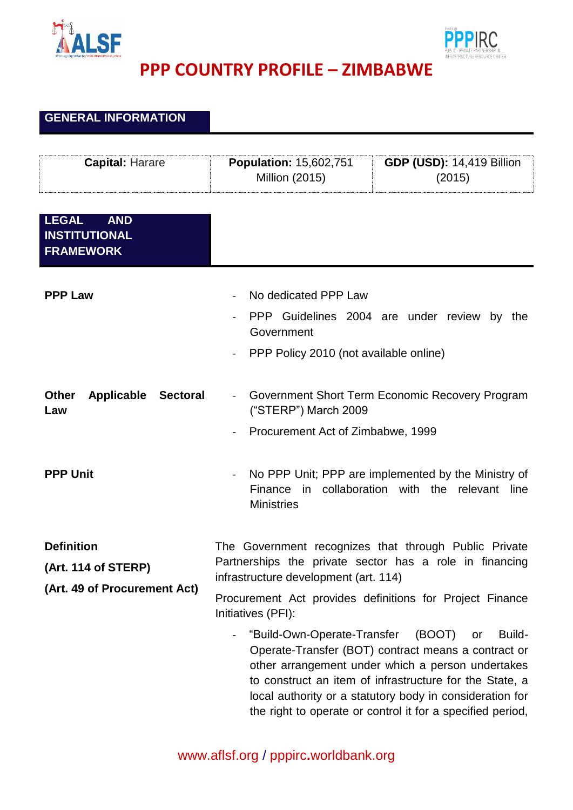



## **PPP COUNTRY PROFILE – ZIMBABWE**

## **GENERAL INFORMATION**

| <b>Capital: Harare</b>                                                   | <b>Population: 15,602,751</b><br><b>Million (2015)</b>                                                               | <b>GDP (USD): 14,419 Billion</b><br>(2015)                                                                                                                                                                                                                                                                              |
|--------------------------------------------------------------------------|----------------------------------------------------------------------------------------------------------------------|-------------------------------------------------------------------------------------------------------------------------------------------------------------------------------------------------------------------------------------------------------------------------------------------------------------------------|
| <b>LEGAL</b><br><b>AND</b><br><b>INSTITUTIONAL</b><br><b>FRAMEWORK</b>   |                                                                                                                      |                                                                                                                                                                                                                                                                                                                         |
| <b>PPP Law</b>                                                           | No dedicated PPP Law<br>Government<br>PPP Policy 2010 (not available online)                                         | PPP Guidelines 2004 are under review by the                                                                                                                                                                                                                                                                             |
| Applicable<br><b>Other</b><br><b>Sectoral</b><br>Law                     | ("STERP") March 2009<br>Procurement Act of Zimbabwe, 1999                                                            | Government Short Term Economic Recovery Program                                                                                                                                                                                                                                                                         |
| <b>PPP Unit</b>                                                          | $\blacksquare$<br><b>Ministries</b>                                                                                  | No PPP Unit; PPP are implemented by the Ministry of<br>Finance in collaboration with the relevant line                                                                                                                                                                                                                  |
| <b>Definition</b><br>(Art. 114 of STERP)<br>(Art. 49 of Procurement Act) | The Government recognizes that through Public Private<br>infrastructure development (art. 114)<br>Initiatives (PFI): | Partnerships the private sector has a role in financing<br>Procurement Act provides definitions for Project Finance                                                                                                                                                                                                     |
|                                                                          | "Build-Own-Operate-Transfer<br>$\blacksquare$                                                                        | Build-<br>(BOOT)<br>or<br>Operate-Transfer (BOT) contract means a contract or<br>other arrangement under which a person undertakes<br>to construct an item of infrastructure for the State, a<br>local authority or a statutory body in consideration for<br>the right to operate or control it for a specified period, |